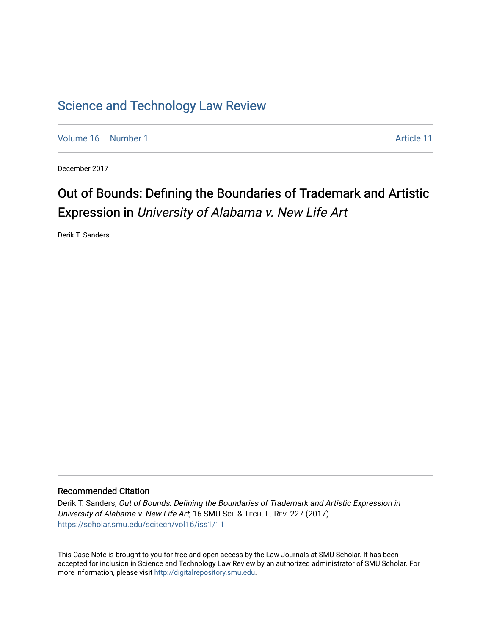# [Science and Technology Law Review](https://scholar.smu.edu/scitech)

[Volume 16](https://scholar.smu.edu/scitech/vol16) [Number 1](https://scholar.smu.edu/scitech/vol16/iss1) Article 11

December 2017

# Out of Bounds: Defining the Boundaries of Trademark and Artistic Expression in University of Alabama v. New Life Art

Derik T. Sanders

# Recommended Citation

Derik T. Sanders, Out of Bounds: Defining the Boundaries of Trademark and Artistic Expression in University of Alabama v. New Life Art, 16 SMU SCI. & TECH. L. REV. 227 (2017) [https://scholar.smu.edu/scitech/vol16/iss1/11](https://scholar.smu.edu/scitech/vol16/iss1/11?utm_source=scholar.smu.edu%2Fscitech%2Fvol16%2Fiss1%2F11&utm_medium=PDF&utm_campaign=PDFCoverPages)

This Case Note is brought to you for free and open access by the Law Journals at SMU Scholar. It has been accepted for inclusion in Science and Technology Law Review by an authorized administrator of SMU Scholar. For more information, please visit [http://digitalrepository.smu.edu](http://digitalrepository.smu.edu/).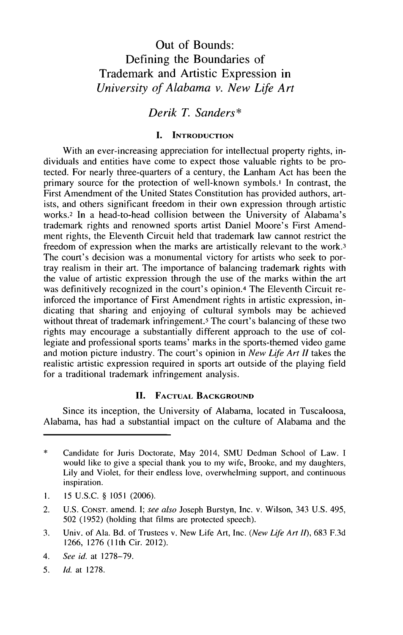# Out of Bounds: Defining the Boundaries of Trademark and Artistic Expression in *University of Alabama v. New Life Art*

*Derik T. Sanders\**

## **I. INTRODUCTION**

With an ever-increasing appreciation for intellectual property rights, individuals and entities have come to expect those valuable rights to be protected. For nearly three-quarters of a century, the Lanham Act has been the primary source for the protection of well-known symbols.<sup>1</sup> In contrast, the First Amendment of the United States Constitution has provided authors, artists, and others significant freedom in their own expression through artistic works.2 In a head-to-head collision between the University of Alabama's trademark rights and renowned sports artist Daniel Moore's First Amendment rights, the Eleventh Circuit held that trademark law cannot restrict the freedom of expression when the marks are artistically relevant to the work.3 The court's decision was a monumental victory for artists who seek to portray realism in their art. The importance of balancing trademark rights with the value of artistic expression through the use of the marks within the art was definitively recognized in the court's opinion.4 The Eleventh Circuit reinforced the importance of First Amendment rights in artistic expression, indicating that sharing and enjoying of cultural symbols may be achieved without threat of trademark infringement.<sup>5</sup> The court's balancing of these two rights may encourage a substantially different approach to the use of collegiate and professional sports teams' marks in the sports-themed video game and motion picture industry. The court's opinion in *New Life Art II* takes the realistic artistic expression required in sports art outside of the playing field for a traditional trademark infringement analysis.

#### **II. FACTUAL BACKGROUND**

Since its inception, the University of Alabama, located in Tuscaloosa, Alabama, has had a substantial impact on the culture of Alabama and the

- **1. 15 U.S.C. § 1051 (2006).**
- 2. **U.S. CONST.** amend. *I; see also* Joseph Burstyn, Inc. v. Wilson, 343 **U.S.** 495, **502 (1952)** (holding that films are protected speech).
- **3.** Univ. of Ala. Bd. of Trustees v. New Life Art, Inc. *(New Life Art II),* **683 F.3d 1266, 1276 (11th** Cir. 2012).
- 4. *See id.* at **1278-79.**
- *5. Id.* at **1278.**

<sup>\*</sup> Candidate for Juris Doctorate, May 2014, **SMU** Dedman School of Law. **I** would like to give a special thank you to my wife, Brooke, and my daughters, Lily and Violet, for their endless love, overwhelming support, and continuous inspiration.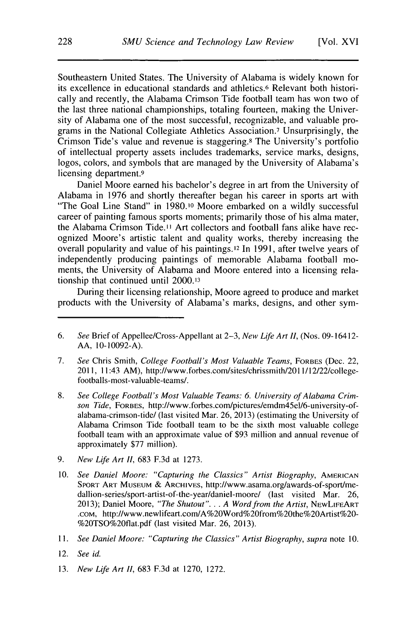Southeastern United States. The University of Alabama is widely known for its excellence in educational standards and athletics.6 Relevant both historically and recently, the Alabama Crimson Tide football team has won two of the last three national championships, totaling fourteen, making the University of Alabama one of the most successful, recognizable, and valuable programs in the National Collegiate Athletics Association.7 Unsurprisingly, the Crimson Tide's value and revenue is staggering.8 The University's portfolio of intellectual property assets includes trademarks, service marks, designs, logos, colors, and symbols that are managed **by** the University of Alabama's licensing department.9

Daniel Moore earned his bachelor's degree in art from the University of Alabama in **1976** and shortly thereafter began his career in sports art with "The Goal Line Stand" in **1980.10** Moore embarked on a wildly successful career of painting famous sports moments; primarily those of his alma mater, the Alabama Crimson Tide." Art collectors and football fans alike have recognized Moore's artistic talent and quality works, thereby increasing the overall popularity and value of his **paintings.12** In **1991,** after twelve years of independently producing paintings of memorable Alabama football moments, the University of Alabama and Moore entered into a licensing relationship that continued until **2000.13**

During their licensing relationship, Moore agreed to produce and market products with the University of Alabama's marks, designs, and other sym-

- **8.** *See College Football's Most Valuable Teams: 6. University of Alabama Crimson Tide,* **FORBES,** http://www.forbes.com/pictures/emdm45el/6-university-ofalabama-crimson-tide/ (last visited Mar. **26, 2013)** (estimating the University of Alabama Crimson Tide football team to be the sixth most valuable college football team with **an approximate** value **of \$93** million and annual revenue of approximately **\$77** million).
- **9.** *New Life Art II,* **683 F.3d** at **1273.**
- **10.** *See Daniel Moore: "Capturing the Classics" Artist Biography,* **AMERICAN SPORT ART MUSEUM** *&* **ARCHIVES,** http://www.asama.org/awards-of-sport/medallion-series/sport-artist-of-the-year/daniel-moore/ (last visited Mar. **26, 2013);** Daniel **Moore,** *"The Shutout". . . A Word from the Artist,* **NEwLIFEART .com,** http://www.newlifeart.com/A%20Word%20from%20the%20Artist%20- %20TSO%20flat.pdf (last visited Mar. **26, 2013).**
- **11.** *See Daniel Moore: "Capturing the Classics" Artist Biography, supra note* **10.**
- 12. *See id.*
- **13.** *New Life Art II,* **683 F.3d** at **1270, 1272.**

**<sup>6.</sup>** *See* Brief of Appellee/Cross-Appellant at **2-3,** *New Life Art II,* (Nos. 09-16412- **AA, 10-10092-A).**

**<sup>7.</sup>** *See* Chris Smith, *College Football's Most Valuable Teams,* **FORBES** (Dec. 22, 2011, 11:43 AM), http://www.forbes.com/sites/chrissmith/2011/12/22/collegefootballs-most-valuable-teams/.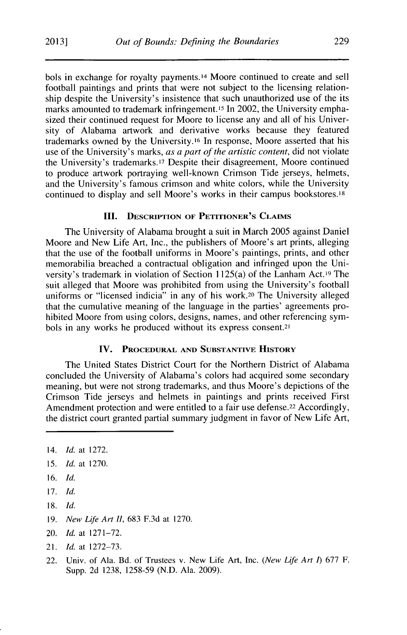bols in exchange for royalty payments.14 Moore continued to create and sell football paintings and prints that were not subject to the licensing relationship despite the University's insistence that such unauthorized use of the its marks amounted to trademark infringement.15 In 2002, the University emphasized their continued request for Moore to license any and all of his University of Alabama artwork and derivative works because they featured trademarks owned **by** the University.16 In response, Moore asserted that his use of the University's marks, *as a part of the artistic content,* did not violate the University's trademarks.'7 Despite their disagreement, Moore continued to produce artwork portraying well-known Crimson Tide jerseys, helmets, and the University's famous crimson and white colors, while the University continued to display and sell Moore's works in their campus bookstores.'8

# **III. DESCRIPTION OF PETITIONER'S CLAIMS**

The University of Alabama brought a suit in March **2005** against Daniel Moore and New Life Art, Inc., the publishers of Moore's art prints, alleging that the use of the football uniforms in Moore's paintings, prints, and other memorabilia breached a contractual obligation and infringed upon the University's trademark in violation of Section 1125(a) of the Lanham Act.19 The suit alleged that Moore was prohibited from using the University's football uniforms or "licensed indicia" in any of his work.20 The University alleged that the cumulative meaning of the language in the parties' agreements prohibited Moore from using colors, designs, names, and other referencing symbols in any works he produced without its express consent.<sup>21</sup>

### **IV. PROCEDURAL AND SUBSTANTIVE HISTORY**

The United States District Court for the Northern District of Alabama concluded the University of Alabama's colors had acquired some secondary meaning, but were not strong trademarks, and thus Moore's depictions of the Crimson Tide jerseys and helmets in paintings and prints received First Amendment protection and were entitled to a fair use defense.<sup>22</sup> Accordingly, the district court granted partial summary judgment in favor of New Life Art,

- **19.** *New Life Art II,* **683 F.3d** at **1270.**
- 20. *Id.* at **1271-72.**
- 21. *Id.* at **1272-73.**
- 22. Univ. of Ala. Bd. of Trustees v. New Life Art, Inc. *(New Life Art 1)* **677** F. Supp. **2d 1238, 1258-59 (N.D.** Ala. **2009).**

<sup>14.</sup> *Id.* at **1272.**

*<sup>15.</sup> Id.* at **1270.**

**<sup>16.</sup>** *Id.*

**<sup>17.</sup>** *Id.*

**<sup>18.</sup>** *Id.*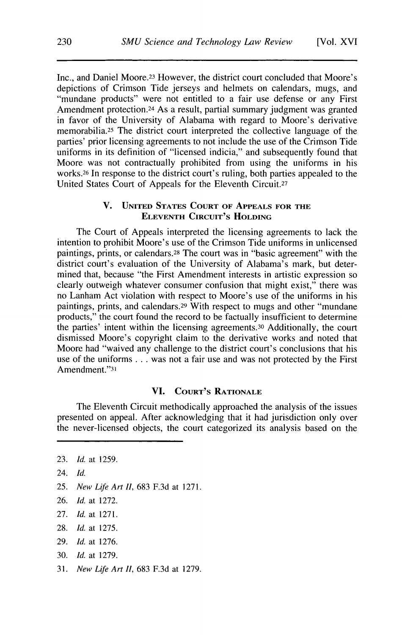Inc., and Daniel Moore.<sup>23</sup> However, the district court concluded that Moore's depictions of Crimson Tide jerseys and helmets on calendars, mugs, and "mundane products" were not entitled to a fair use defense or any First Amendment protection.<sup>24</sup> As a result, partial summary judgment was granted in favor of the University of Alabama with regard to Moore's derivative memorabilia.25 The district court interpreted the collective language of the parties' prior licensing agreements to not include the use of the Crimson Tide uniforms in its definition of "licensed indicia," and subsequently found that Moore was not contractually prohibited from using the uniforms in his works.<sup>2</sup> 6 In response to the district court's ruling, both parties appealed to the United States Court of Appeals for the Eleventh Circuit.27

# **V. UNITED STATES COURT OF APPEALS FOR THE ELEVENTH CIRCUIT'S HOLDING**

The Court of Appeals interpreted the licensing agreements to lack the intention to prohibit Moore's use of the Crimson Tide uniforms in unlicensed paintings, prints, or calendars.28 The court was in "basic agreement" with the district court's evaluation of the University of Alabama's mark, but determined that, because "the First Amendment interests in artistic expression so clearly outweigh whatever consumer confusion that might exist," there was no Lanham Act violation with respect to Moore's use of the uniforms in his paintings, prints, and calendars.29 With respect to mugs and other "mundane products," the court found the record to be factually insufficient to determine the parties' intent within the licensing agreements. 30 Additionally, the court dismissed Moore's copyright claim to the derivative works and noted that Moore had "waived any challenge to the district court's conclusions that his use of the uniforms **.** . **.** was not a fair use and was not protected **by** the First Amendment."31

#### **VI. COURT'S RATIONALE**

The Eleventh Circuit methodically approached the analysis of the issues presented on appeal. After acknowledging that it had jurisdiction only over the never-licensed objects, the court categorized its analysis based on the

- **30.** *Id.* at **1279.**
- **31.** *New Life Art II,* **683 F.3d** at **1279.**

**<sup>23.</sup>** *Id.* at **1259.**

<sup>24.</sup> **Id.**

**<sup>25.</sup>** *New Life Art II,* **683 F.3d** at **1271.**

**<sup>26.</sup>** *Id.* at **1272.**

**<sup>27.</sup>** *Id.* at **1271.**

**<sup>28.</sup>** *Id.* at **1275.**

**<sup>29.</sup>** *Id.* at **1276.**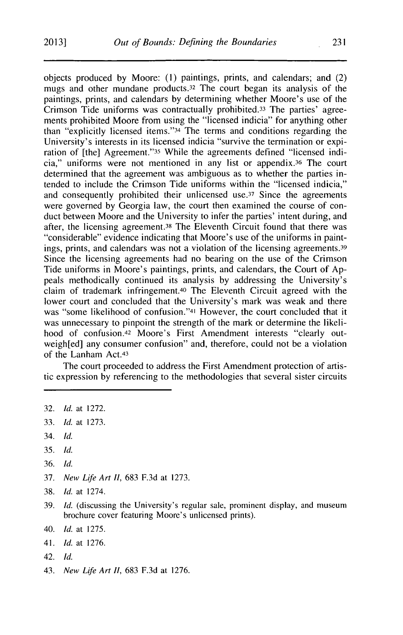objects produced **by** Moore: **(1)** paintings, prints, and calendars; and (2) mugs and other mundane products. 32 The court began its analysis of the paintings, prints, and calendars **by** determining whether Moore's use of the Crimson Tide uniforms was contractually prohibited.33 The parties' agreements prohibited Moore from using the "licensed indicia" for anything other than "explicitly licensed items."34 The terms and conditions regarding the University's interests in its licensed indicia "survive the termination or expiration of [the] Agreement."35 While the agreements defined "licensed indicia," uniforms were not mentioned in any list or appendix. 36 The court determined that the agreement was ambiguous as to whether the parties intended to include the Crimson Tide uniforms within the "licensed indicia," and consequently prohibited their unlicensed use.<sup>37</sup> Since the agreements were governed **by** Georgia law, the court then examined the course of conduct between Moore and the University to infer the parties' intent during, and after, the licensing agreement.38 The Eleventh Circuit found that there was "considerable" evidence indicating that Moore's use of the uniforms in paintings, prints, and calendars was not a violation of the licensing agreements.<sup>39</sup> Since the licensing agreements had no bearing on the use of the Crimson Tide uniforms in Moore's paintings, prints, and calendars, the Court of **Ap**peals methodically continued its analysis **by** addressing the University's claim of trademark infringement.40 The Eleventh Circuit agreed with the lower court and concluded that the University's mark was weak and there was "some likelihood of confusion."41 However, the court concluded that it was unnecessary to pinpoint the strength of the mark or determine the likelihood of confusion.<sup>42</sup> Moore's First Amendment interests "clearly outweigh[ed] any consumer confusion" and, therefore, could not **be** a violation of the Lanham Act.43

The court proceeded to address the First Amendment protection of artistic expression **by** referencing to the methodologies that several sister circuits

- **33.** *Id.* at **1273.**
- 34. *Id.*
- *35. Id.*
- **36.** *Id.*
- **37.** *New Life Art II,* **683 F.3d** at **1273.**
- **38.** *Id.* at 1274.
- **39.** *Id.* (discussing the University's regular sale, prominent display, and museum brochure cover featuring Moore's unlicensed prints).
- 40. *Id.* at **1275.**
- 41. *Id.* at **1276.**
- 42. *Id.*
- 43. *New Life Art II,* **683 F.3d** at **1276.**

**<sup>32.</sup>** *Id.* at **1272.**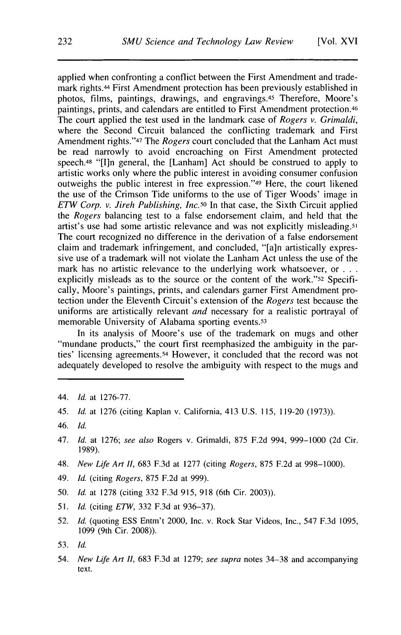applied when confronting a conflict between the First Amendment and trademark rights.44 First Amendment protection has been previously established in photos, films, paintings, drawings, and engravings.45 Therefore, Moore's paintings, prints, and calendars are entitled to First Amendment protection.46 The court applied the test used in the landmark case of *Rogers v. Grimaldi,* where the Second Circuit balanced the conflicting trademark and First Amendment rights."47 The *Rogers* court concluded that the Lanham Act must be read narrowly to avoid encroaching on First Amendment protected speech.<sup>48</sup> "[I]n general, the [Lanham] Act should be construed to apply to artistic works only where the public interest in avoiding consumer confusion outweighs the public interest in free expression."49 Here, the court likened the use of the Crimson Tide uniforms to the use of Tiger Woods' image in *ETW Corp. v. Jireh Publishing, Inc.50* In that case, the Sixth Circuit applied *the Rogers* balancing test to a false endorsement claim, and held that the artist's use had some artistic relevance and was not explicitly misleading.51 The court recognized no difference in the derivation of a false endorsement claim and trademark infringement, and concluded, "[a]n artistically expressive use of a trademark will not violate the Lanham Act unless the use of the mark has no artistic relevance to the underlying work whatsoever, or **. . .** explicitly misleads as to the source or the content of the work."52 Specifically, Moore's paintings, prints, and calendars garner First Amendment protection under the Eleventh Circuit's extension of the *Rogers* test because the uniforms are artistically relevant *and* necessary for a realistic portrayal of memorable University of Alabama sporting events.<sup>53</sup>

In its analysis of Moore's use of the trademark on mugs and other "mundane products," the court first reemphasized the ambiguity in the parties' licensing agreements. 54 However, it concluded that the record was not adequately developed to resolve the ambiguity with respect to the mugs and

- 44. *Id.* at **1276-77.**
- 45. *Id.* at **1276** (citing Kaplan v. California, 413 **U.S. 115, 119-20 (1973)).**
- *46. Id.*
- *47. Id.* at **1276;** *see also* Rogers v. Grimaldi, **875 F.2d** 994, **999-1000 (2d** Cir. **1989).**
- 48. *New Life Art II,* **683 F.3d** at **1277** (citing *Rogers,* **875 F.2d** at **998-1000).**
- 49. *Id. (citing Rogers,* **875 F.2d** at **999).**
- **50.** *Id.* at **1278** (citing **332 F.3d 915, 918** (6th Cir. **2003)).**
- *51. Id.* (citing *ETW,* **332 F.3d** at **936-37).**
- *52. Id.* (quoting **ESS** Entm't 2000, Inc. v. Rock Star Videos, Inc., 547 **F.3d 1095, 1099** (9th Cir. **2008)).**
- *53. Id.*
- 54. *New Life Art II,* **683 F.3d** at **1279;** *see supra* notes **34-38** and accompanying text.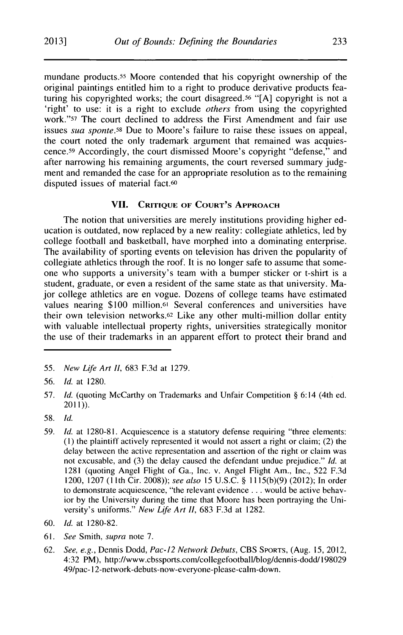mundane products.55 Moore contended that his copyright ownership of the original paintings entitled him to a right to produce derivative products featuring his copyrighted works; the court disagreed.56 **"[A]** copyright is not a 'right' to use: it is a right to exclude *others* from using the copyrighted work."57 The court declined to address the First Amendment and fair use issues *sua sponte.58* Due to Moore's failure to raise these issues on appeal, the court noted the only trademark argument that remained was acquiescence. 59 Accordingly, the court dismissed Moore's copyright "defense," and after narrowing his remaining arguments, the court reversed summary judgment and remanded the case for an appropriate resolution as to the remaining disputed issues of material fact.<sup>60</sup>

#### **VII. CRITIQUE OF COURT'S APPROACH**

The notion that universities are merely institutions providing higher education is outdated, now replaced **by** a new reality: collegiate athletics, led **by** college football and basketball, have morphed into a dominating enterprise. The availability of sporting events on television has driven the popularity of collegiate athletics through the roof. It is no longer safe to assume that someone who supports a university's team with a bumper sticker or t-shirt is a student, graduate, or even a resident of the same state as that university. Major college athletics are en vogue. Dozens of college teams have estimated values nearing **\$100** million.61 Several conferences and universities have their own television networks.62 Like any other multi-million dollar entity with valuable intellectual property rights, universities strategically monitor the use of their trademarks in an apparent effort to protect their brand and

**59.** *Id.* at **1280-81.** Acquiescence is a statutory defense requiring "three elements: **(1)** the plaintiff actively represented it would not assert a right or claim; (2) the delay between the active representation and assertion of the right or claim was not excusable, and **(3)** the delay caused the defendant undue prejudice." *Id.* at **1281** (quoting Angel Flight of Ga., Inc. v. Angel Flight Am., Inc., **522 F.3d** 1200, **1207 (11** th Cir. **2008));** *see also* **15 U.S.C. §** l1 **15(b)(9)** (2012); In order to demonstrate acquiescence, "the relevant evidence **. ..** would be active behavior **by** the University during the time that Moore has been portraying the University's uniforms." *New Life Art II,* **683 F.3d** at **1282.**

- **61.** *See Smith, supra* note **7.**
- **62.** *See, e.g.,* Dennis Dodd, *Pac-12 Network Debuts,* **CBS SPORTS,** (Aug. **15,** 2012, 4:32 PM), http://www.cbssports.com/collegefootball/blog/dennis-dodd/198029 49/pac- 12-network-debuts-now-everyone-please-calm-down.

**<sup>55.</sup>** *New Life Art 11,* **683 F.3d** at **1279.**

**<sup>56.</sup>** *Id.* at **1280.**

**<sup>57.</sup>** *Id.* (quoting McCarthy on Trademarks and Unfair Competition **§** 6:14 (4th ed. 2011)).

**<sup>58.</sup>** *Id.*

**<sup>60.</sup>** *Id.* at **1280-82.**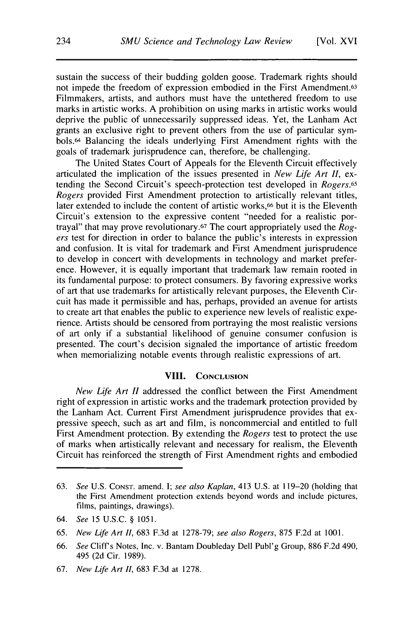sustain the success of their budding golden goose. Trademark rights should not impede the freedom of expression embodied in the First Amendment.63 Filmmakers, artists, and authors must have the untethered freedom to use marks in artistic works. **A** prohibition on using marks in artistic works would deprive the public of unnecessarily suppressed ideas. Yet, the Lanham Act grants an exclusive right to prevent others from the use of particular symbols.64 Balancing the ideals underlying First Amendment rights with the goals of trademark jurisprudence can, therefore, be challenging.

The United States Court of Appeals for the Eleventh Circuit effectively articulated the implication of the issues presented in *New Life Art II,* extending the Second Circuit's speech-protection test developed in *Rogers.65 Rogers* provided First Amendment protection to artistically relevant titles, later extended to include the content of artistic works,<sup>66</sup> but it is the Eleventh Circuit's extension to the expressive content "needed for a realistic portrayal" that may prove revolutionary.67 The court appropriately used the *Rogers* test for direction in order to balance the public's interests in expression and confusion. It is vital for trademark and First Amendment jurisprudence to develop in concert with developments in technology and market preference. However, it is equally important that trademark law remain rooted in its fundamental purpose: to protect consumers. **By** favoring expressive works of art that use trademarks for artistically relevant purposes, the Eleventh Circuit has made it permissible and has, perhaps, provided an avenue for artists to create art that enables the public to experience new levels of realistic experience. Artists should be censored from portraying the most realistic versions of art only if a substantial likelihood of genuine consumer confusion is presented. The court's decision signaled the importance of artistic freedom when memorializing notable events through realistic expressions of art.

## **VIII. CONCLUSION**

*New Life Art II* addressed the conflict between the First Amendment right of expression in artistic works and the trademark protection provided **by** the Lanham Act. Current First Amendment jurisprudence provides that expressive speech, such as art and film, is noncommercial and entitled to full First Amendment protection. **By** extending the *Rogers* test to protect the use of marks when artistically relevant and necessary for realism, the Eleventh Circuit has reinforced the strength of First Amendment rights and embodied

**<sup>63.</sup>** *See* **U.S. CONST.** amend. **I;** *see also Kaplan,* 413 **U.S.** at **119-20** (holding that the First Amendment protection extends beyond words and include pictures, films, paintings, drawings).

<sup>64.</sup> *See 15* **U.S.C. § 1051.**

**<sup>65.</sup>** New *Life Art II,* **683 F.3d** at **1278-79;** *see also Rogers,* **875 F.2d** at **1001.**

**<sup>66.</sup>** *See* Cliff's Notes, Inc. v. Bantam Doubleday Dell Publ'g Group, **886 F.2d** 490, 495 **(2d** Cir. **1989).**

**<sup>67.</sup>** *New Life Art II,* **683 F.3d** at **1278.**